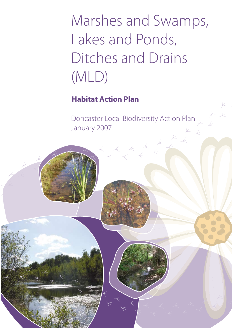# Marshes and Swamps, Lakes and Ponds, Ditches and Drains (MLD)

**Habitat Action Plan**

Doncaster Local Biodiversity Action Plan January 2007

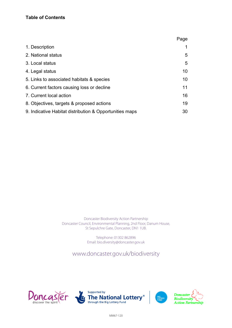## **Table of Contents**

|                                                         | Page |
|---------------------------------------------------------|------|
| 1. Description                                          |      |
| 2. National status                                      | 5    |
| 3. Local status                                         | 5    |
| 4. Legal status                                         | 10   |
| 5. Links to associated habitats & species               | 10   |
| 6. Current factors causing loss or decline              | 11   |
| 7. Current local action                                 | 16   |
| 8. Objectives, targets & proposed actions               | 19   |
| 9. Indicative Habitat distribution & Opportunities maps | 30   |

Doncaster Biodiversity Action Partnership Doncaster Council, Environmental Planning, 2nd Floor, Danum House, St Sepulchre Gate, Doncaster, DN1 1UB.

> Telephone: 01302 862896 Email: bio.diversity@doncaster.gov.uk

www.doncaster.gov.uk/biodiversity







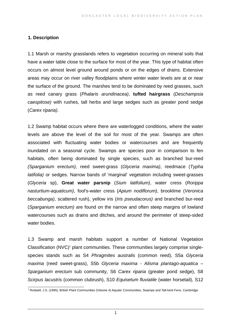## **1. Description**

1.1 Marsh or marshy grasslands refers to vegetation occurring on mineral soils that have a water table close to the surface for most of the year. This type of habitat often occurs on almost level ground around ponds or on the edges of drains. Extensive areas may occur on river valley floodplains where winter water levels are at or near the surface of the ground. The marshes tend to be dominated by reed grasses, such as reed canary grass (*Phalaris arundinacea)*, **tufted hairgrass** (*Deschampsia caespitose)* with rushes, tall herbs and large sedges such as greater pond sedge (*Carex riparia)*.

1.2 Swamp habitat occurs where there are waterlogged conditions, where the water levels are above the level of the soil for most of the year. Swamps are often associated with fluctuating water bodies or watercourses and are frequently inundated on a seasonal cycle. Swamps are species poor in comparison to fen habitats, often being dominated by single species, such as branched bur-reed *(Sparganium erectum)*, reed sweet-grass (*Glyceria maxima)*, reedmace (*Typha latifolia)* or sedges. Narrow bands of 'marginal' vegetation including sweet-grasses (*Glyceria* sp), **Great water parsnip** (*Sium latifolium)*, water cress (*Rorippa nasturtium-aquaticum)*, fool's-water cress (*Apium nodiflorum)*, brooklime (*Veronica beccabunga)*, scattered rush), yellow iris (*Iris pseudacorus)* and branched bur-reed (*Sparganium erectum)* are found on the narrow and often steep margins of lowland watercourses such as drains and ditches, and around the perimeter of steep-sided water bodies.

1.3 Swamp and marsh habitats support a number of National Vegetation Classification (NVC)<sup>[1](#page-2-0)</sup> plant communities. These communities largely comprise singlespecies stands such as S4 *Phragmites australis* (common reed), S5a *Glyceria maxima* (reed sweet-grass), S5b *Glyceria maxima - Alisma plantago-aquatica* – *Sparganium erectum* sub community, S6 *Carex riparia* (greater pond sedge), S8 *Scirpus lacustris* (common clubrush), S10 *Equisetum fluviatile* (water horsetail), S12

<span id="page-2-0"></span>1 Rodwell, J.S. (1995), British Plant Communities (Volume 4) Aquatic Communities, Swamps and Tall-herb Fens. Cambridge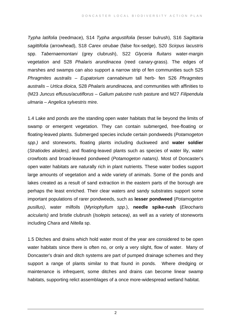*Typha latifolia* (reedmace), S14 *Typha angustifolia* (lesser bulrush), S16 *Sagittaria sagittifolia* (arrowhead), S18 *Carex otrubae* (false fox-sedge), S20 *Scirpus lacustris* spp. *Tabernaemontani* (grey clubrush), S22 *Glyceria fluitans* water-margin vegetation and S28 *Phalaris arundinacea* (reed canary-grass). The edges of marshes and swamps can also support a narrow strip of fen communities such S25 *Phragmites australis – Eupatorium cannabinum* tall herb- fen S26 *Phragmites australis – Urtica dioica,* S28 *Phalaris arundinacea,* and communities with affinities to (M23 *Juncus effusus/acutiflorus – Galium palustre* rush pasture and M27 *Filipendula ulmaria – Angelica sylvestris* mire.

1.4 Lake and ponds are the standing open water habitats that lie beyond the limits of swamp or emergent vegetation. They can contain submerged, free-floating or floating-leaved plants. Submerged species include certain pondweeds (*Potamogeton spp.)* and stoneworts, floating plants including duckweed and **water soldier** (*Stratiodes aloides)*, and floating-leaved plants such as species of water lily, water crowfoots and broad-leaved pondweed (*Potamogeton natans)*. Most of Doncaster's open water habitats are naturally rich in plant nutrients. These water bodies support large amounts of vegetation and a wide variety of animals. Some of the ponds and lakes created as a result of sand extraction in the eastern parts of the borough are perhaps the least enriched. Their clear waters and sandy substrates support some important populations of rarer pondweeds, such as **lesser pondweed** (*Potamogeton pusillus)*, water milfoils (*Myriophyllum spp*.), **needle spike-rush** (*Eleocharis acicularis)* and bristle clubrush (*Isolepis setacea)*, as well as a variety of stoneworts including *Chara* and *Nitella* sp.

1.5 Ditches and drains which hold water most of the year are considered to be open water habitats since there is often no, or only a very slight, flow of water. Many of Doncaster's drain and ditch systems are part of pumped drainage schemes and they support a range of plants similar to that found in ponds. Where dredging or maintenance is infrequent, some ditches and drains can become linear swamp habitats, supporting relict assemblages of a once more-widespread wetland habitat.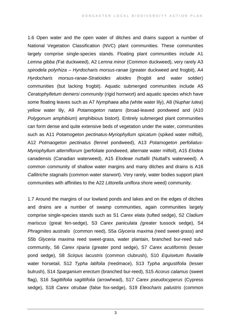1.6 Open water and the open water of ditches and drains support a number of National Vegetation Classification (NVC) plant communities. These communities largely comprise single-species stands. Floating plant communities include A1 *Lemna gibba (*Fat duckweed), A2 *Lemna minor* (Common duckweed), very rarely A3 *spirodela polyrhiza – Hyrdocharis morsus-ranae* (greater duckweed and frogbit), A4 *Hyrdocharis morsus-ranae-Stratioides aloides* (frogbit and water soldier) communities (but lacking frogbit). Aquatic submerged communities include A5 *Ceratophylletum demersi community* (rigid hornwort) and aquatic species which have some floating leaves such as A7 *Nymphaea alba (*white water lily), A8 (*Nuphar lutea*) yellow water lily, A9 *Potamogeton natans* (broad-leaved pondweed and (A10 *Polygonum amphibium*) amphibious bistort). Entirely submerged plant communities can form dense and quite extensive beds of vegetation under the water, communities such as A11 *Potamogeton pectinatus-Myriophyllum spicatum* (spiked water milfoil), A12 *Potmaogeton pectinatus* (fennel pondweed), A13 *Potamogeton perfoliatus-Myriophyllum alterniflorum* (perfoliate pondweed, alternate water milfoil), A15 *Elodea* canadensis (Canadian waterweed), A15 *Elodeae nuttallii* (Nuttall's waterweed). A common community of shallow water margins and many ditches and drains is A16 *Callitriche stagnalis* (common water starwort). Very rarely, water bodies support plant communities with affinities to the A22 *Littorella uniflora s*hore weed) community.

1.7 Around the margins of our lowland ponds and lakes and on the edges of ditches and drains are a number of swamp communities, again communities largely comprise single-species stands such as S1 *Carex elata* (tufted sedge), S2 *Cladium mariscus* (great fen-sedge), S3 *Carex paniculata (*greater tussock sedge), S4 *Phragmites australis* (common reed), S5a *Glyceria maxima (*reed sweet-grass) and S5b *Glyceria maxima* reed sweet-grass, water plantain, branched bur-reed subcommunity, S6 *Carex riparia* (greater pond sedge), S7 *Carex acutiformis* (lesser pond sedge), S8 *Scirpus lacustris* (common clubrush), S10 *Equisetum fluviatile* water horsetail, S12 *Typha latifolia (*reedmace), S13 *Typha angustifolia* (lesser bulrush), S14 *Sparganium erectum* (branched bur-reed), S15 *Acorus calamus* (sweet flag), S16 *Sagittifolia sagittifolia* (arrowhead), S17 *Carex pseudocyperus* (Cypress sedge), S18 *Carex otrubae* (false fox-sedge), S19 *Eleocharis palustris* (common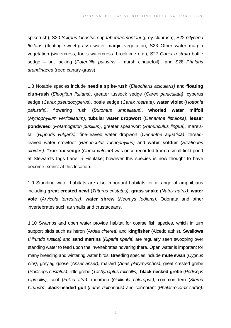spikerush), S20 *Scirpus lacustris* spp *tabernaemontani* (grey clubrush), S22 *Glyceria fluitans* (floating sweet-grass) water margin vegetation, S23 Other water margin vegetation (watercress, fool's watercress. brooklime etc.), S27 *Carex rostrata* bottle sedge – but lacking (*Potentilla palustris -* marsh cinquefoil) and S28 *Phalaris arundinacea* (reed canary-grass).

1.8 Notable species include **needle spike-rush** (*Eleocharis acicularis)* and **floating club-rush** (*Eleogiton fluitans)*, greater tussock sedge (*Carex paniculata)*, cyperus sedge (*Carex pseudocyperus)*, bottle sedge (*Carex rostrata)*, **water violet** (*Hottonia palustris)*, flowering rush (*Butomus umbellatus)*, **whorled water milfoil** (*Myriophyllum verticillatum)*, **tubular water dropwort** (*Oenanthe fistulosa)*, **lesser pondweed** (*Potamogeton pusillus)*, greater spearwort (*Ranunculus lingua)*, mare'stail (*Hippuris vulgaris)*, fine-leaved water dropwort (*Oenanthe aquatica)*, threadleaved water crowfoot (*Ranunculus trichophyllus)* and **water soldier** (*Stratiodes aloides)*. **True fox sedge** (*Carex vulpine)* was once recorded from a small field pond at Steward's Ings Lane in Fishlake; however this species is now thought to have become extinct at this location.

1.9 Standing water habitats are also important habitats for a range of amphibians including **great crested newt** (*Triturus cristatus)*, **grass snake** (*Natrix natrix)*, **water vole** (*Arvicola terrestris)*, **water shrew** (*Neomys fodiens)*, Odonata and other invertebrates such as snails and crustaceans.

1.10 Swamps and open water provide habitat for coarse fish species, which in turn support birds such as heron (*Ardea cinerea)* and **kingfisher** (Alcedo atthis). **Swallows** (*Hirundo rustica)* and **sand martins** (*Riparia riparia)* are regularly seen swooping over standing water to feed upon the invertebrates hovering there. Open water is important for many breeding and wintering water birds. Breeding species include **mute swan** (*Cygnus olor)*, greylag goose (*Anser anser)*, mallard (*Anas platyrhynchos)*, great crested grebe (*Podiceps cristatus)*, little grebe (*Tachybaptus ruficollis)*, **black necked grebe** (*Podiceps nigrcollis)*, coot (*Fulica atra)*, moorhen (*Gallinula chloropus)*, common tern (*Sterna hirundo)*, **black-headed gull** (*Larus ridibundus)* and cormorant (*Phalacrocorax carbo)*.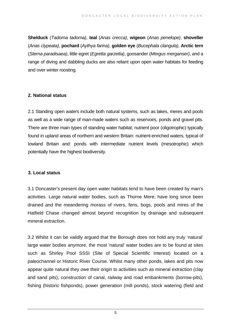**Shelduck** (*Tadorna tadorna)*, **teal** (*Anas crecca)*, **wigeon** (*Anas penelope)*, **shoveller** (*Anas clypeata)*, **pochard** (*Aythya farina)*, **golden eye** (*Bucephala clangula)*, **Arctic tern** (*Sterna paradisaea)*, little egret (*Egretta garzetta)*, goosander (*Mergus merganser)*, and a range of diving and dabbling ducks are also reliant upon open water habitats for feeding and over winter roosting.

## **2. National status**

2.1 Standing open waters include both natural systems, such as lakes, meres and pools as well as a wide range of man-made waters such as reservoirs, ponds and gravel pits. There are three main types of standing water habitat; nutrient poor (oligotrophic) typically found in upland areas of northern and western Britain: nutrient-enriched waters, typical of lowland Britain and: ponds with intermediate nutrient levels (mesotrophic) which potentially have the highest biodiversity.

## **3. Local status**

3.1 Doncaster's present day open water habitats tend to have been created by man's activities. Large natural water bodies, such as Thorne Mere, have long since been drained and the meandering morass of rivers, fens, bogs, pools and mires of the Hatfield Chase changed almost beyond recognition by drainage and subsequent mineral extraction.

3.2 Whilst it can be validly argued that the Borough does not hold any truly 'natural' large water bodies anymore, the most 'natural' water bodies are to be found at sites such as Shirley Pool SSSI (Site of Special Scientific Interest) located on a paleochannel or Historic River Course. Whilst many other ponds, lakes and pits now appear quite natural they owe their origin to activities such as mineral extraction (clay and sand pits), construction of canal, railway and road embankments (borrow-pits), fishing (historic fishponds), power generation (mill ponds), stock watering (field and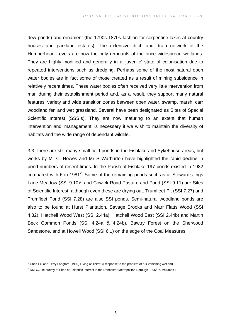dew ponds) and ornament (the 1790s-1870s fashion for serpentine lakes at country houses and parkland estates). The extensive ditch and drain network of the Humberhead Levels are now the only remnants of the once widespread wetlands. They are highly modified and generally in a 'juvenile' state of colonisation due to repeated interventions such as dredging. Perhaps some of the most natural open water bodies are in fact some of those created as a result of mining subsidence in relatively recent times. These water bodies often received very little intervention from man during their establishment period and, as a result, they support many natural features, variety and wide transition zones between open water, swamp, marsh, carr woodland fen and wet grassland. Several have been designated as Sites of Special Scientific Interest (SSSIs). They are now maturing to an extent that human intervention and 'management' is necessary if we wish to maintain the diversity of habitats and the wide range of dependant wildlife.

3.3 There are still many small field ponds in the Fishlake and Sykehouse areas, but works by Mr C. Howes and Mr S Warburton have highlighted the rapid decline in pond numbers of recent times. In the Parish of Fishlake 197 ponds existed in 1982 compared with 6 in 1981<sup>[2](#page-7-0)</sup>. Some of the remaining ponds such as at Steward's Ings Lane Meadow (SSI 9.10)<sup>[3](#page-7-1)</sup>, and Cowick Road Pasture and Pond (SSI 9.11) are Sites of Scientific Interest, although even these are drying out. Trumfleet Pit (SSI 7.27) and Trumfleet Pond (SSI 7.28) are also SSI ponds. Semi-natural woodland ponds are also to be found at Hurst Plantation, Savage Brooks and Marr Flatts Wood (SSI 4.32), Hatchell Wood West (SSI 2.44a), Hatchell Wood East (SSI 2.44b) and Martin Beck Common Ponds (SSI 4.24a & 4.24b), Bawtry Forest on the Sherwood Sandstone, and at Howell Wood (SSI 6.1) on the edge of the Coal Measures.

 $\overline{a}$ 

<span id="page-7-0"></span> $^2$  Chris Hill and Terry Langford (1992) Dying of Thirst: A response to the problem of our vanishing wetland.

<span id="page-7-1"></span><sup>&</sup>lt;sup>3</sup> DMBC, Re-survey of Sites of Scientific Interest in the Doncaster Metropolitan Borough 1996/97, Volumes 1-9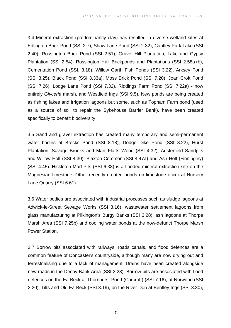3.4 Mineral extraction (predominantly clay) has resulted in diverse wetland sites at Edlington Brick Pond (SSI 2.7), Shaw Lane Pond (SSI 2.32), Cantley Park Lake (SSI 2.40), Rossington Brick Pond (SSI 2.51), Gravel Hill Plantation, Lake and Gypsy Plantation (SSI 2.54), Rossington Hall Brickponds and Plantations (SSI 2.58a+b), Cementation Pond (SSI, 3.18), Willow Garth Fish Ponds (SSI 3.22), Arksey Pond (SSI 3.25), Black Pond (SSI 3.33a), Moss Brick Pond (SSI 7.20), Joan Croft Pond (SSI 7.26), Lodge Lane Pond (SSI 7.32), Riddings Farm Pond (SSI 7.22a) - now entirely *Glyceria* marsh, and Westfield Ings (SSI 9.5). New ponds are being created as fishing lakes and irrigation lagoons but some, such as Topham Farm pond (used as a source of soil to repair the Sykehouse Barrier Bank), have been created specifically to benefit biodiversity.

3.5 Sand and gravel extraction has created many temporary and semi-permanent water bodies at Brecks Pond (SSI 8.18), Dodge Dike Pond (SSI 8.22), Hurst Plantation, Savage Brooks and Marr Flatts Wood (SSI 4.32), Austerfield Sandpits and Willow Holt (SSI 4.30), Blaxton Common (SSI 4.47a) and Ash Holt (Finningley) (SSI 4.45). Hickleton Marl Pits (SSI 6.33) is a flooded mineral extraction site on the Magnesian limestone. Other recently created ponds on limestone occur at Nursery Lane Quarry (SSI 6.61).

3.6 Water bodies are associated with industrial processes such as sludge lagoons at Adwick-le-Street Sewage Works (SSI 3.16), wastewater settlement lagoons from glass manufacturing at Pilkington's Burgy Banks (SSI 3.28), ash lagoons at Thorpe Marsh Area (SSI 7.25b) and cooling water ponds at the now-defunct Thorpe Marsh Power Station.

3.7 Borrow pits associated with railways, roads canals, and flood defences are a common feature of Doncaster's countryside, although many are now drying out and terrestrialising due to a lack of management. Drains have been created alongside new roads in the Decoy Bank Area (SSI 2.28). Borrow-pits are associated with flood defences on the Ea Beck at Thornhurst Pond (Carcroft) (SSI 7.16), at Norwood (SSI 3.20), Tilts and Old Ea Beck (SSI 3.19), on the River Don at Bentley Ings (SSI 3.30),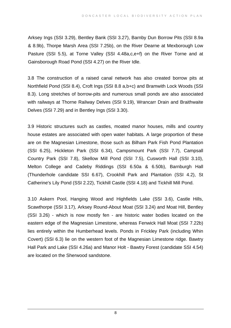Arksey Ings (SSI 3.29), Bentley Bank (SSI 3.27), Barnby Dun Borrow Pits (SSI 8.9a & 8.9b), Thorpe Marsh Area (SSI 7.25b), on the River Dearne at Mexborough Low Pasture (SSI 5.5), at Torne Valley (SSI 4.48a,c,e+f) on the River Torne and at Gainsborough Road Pond (SSI 4.27) on the River Idle.

3.8 The construction of a raised canal network has also created borrow pits at Northfield Pond (SSI 8.4), Croft Ings (SSI 8.8 a,b+c) and Bramwith Lock Woods (SSI 8.3). Long stretches of borrow-pits and numerous small ponds are also associated with railways at Thorne Railway Delves (SSI 9.19), Wrancarr Drain and Braithwaite Delves (SSI 7.29) and in Bentley Ings (SSI 3.30).

3.9 Historic structures such as castles, moated manor houses, mills and country house estates are associated with open water habitats. A large proportion of these are on the Magnesian Limestone, those such as Bilham Park Fish Pond Plantation (SSI 6.25), Hickleton Park (SSI 6.34), Campsmount Park (SSI 7.7), Campsall Country Park (SSI 7.8), Skellow Mill Pond (SSI 7.5), Cusworth Hall (SSI 3.10), Melton College and Cadeby Riddings (SSI 6.50a & 6.50b), Barnburgh Hall (Thunderhole candidate SSI 6.67), Crookhill Park and Plantation (SSI 4.2), St Catherine's Lily Pond (SSI 2.22), Tickhill Castle (SSI 4.18) and Tickhill Mill Pond.

3.10 Askern Pool, Hanging Wood and Highfields Lake (SSI 3.6), Castle Hills, Scawthorpe (SSI 3.17), Arksey Round-About Moat (SSI 3.24) and Moat Hill, Bentley (SSI 3.26) - which is now mostly fen - are historic water bodies located on the eastern edge of the Magnesian Limestone, whereas Fenwick Hall Moat (SSI 7.22b) lies entirely within the Humberhead levels. Ponds in Frickley Park (including Whin Covert) (SSI 6.3) lie on the western foot of the Magnesian Limestone ridge. Bawtry Hall Park and Lake (SSI 4.26a) and Manor Holt - Bawtry Forest (candidate SSI 4.54) are located on the Sherwood sandstone.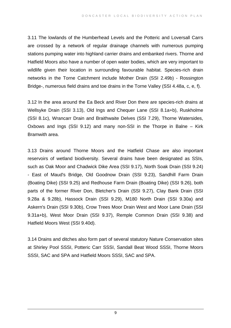3.11 The lowlands of the Humberhead Levels and the Potteric and Loversall Carrs are crossed by a network of regular drainage channels with numerous pumping stations pumping water into highland carrier drains and embanked rivers. Thorne and Hatfield Moors also have a number of open water bodies, which are very important to wildlife given their location in surrounding favourable habitat. Species-rich drain networks in the Torne Catchment include Mother Drain (SSI 2.49b) - Rossington Bridge-, numerous field drains and toe drains in the Torne Valley (SSI 4.48a, c, e, f).

3.12 In the area around the Ea Beck and River Don there are species-rich drains at Wellsyke Drain (SSI 3.13), Old Ings and Chequer Lane (SSI 8.1a+b), Ruskholme (SSI 8.1c), Wrancarr Drain and Braithwaite Delves (SSI 7.29), Thorne Watersides, Oxbows and Ings (SSI 9.12) and many non-SSI in the Thorpe in Balne – Kirk Bramwith area.

3.13 Drains around Thorne Moors and the Hatfield Chase are also important reservoirs of wetland biodiversity. Several drains have been designated as SSIs, such as Oak Moor and Chadwick Dike Area (SSI 9.17), North Soak Drain (SSI 9.24) - East of Maud's Bridge, Old Goodnow Drain (SSI 9.23), Sandhill Farm Drain (Boating Dike) (SSI 9.25) and Redhouse Farm Drain (Boating Dike) (SSI 9.26), both parts of the former River Don, Bletcher's Drain (SSI 9.27), Clay Bank Drain (SSI 9.28a & 9.28b), Hassock Drain (SSI 9.29), M180 North Drain (SSI 9.30a) and Askern's Drain (SSI 9.30b), Crow Trees Moor Drain West and Moor Lane Drain (SSI 9.31a+b), West Moor Drain (SSI 9.37), Remple Common Drain (SSI 9.38) and Hatfield Moors West (SSI 9.40d).

3.14 Drains and ditches also form part of several statutory Nature Conservation sites at Shirley Pool SSSI, Potteric Carr SSSI, Sandall Beat Wood SSSI, Thorne Moors SSSI, SAC and SPA and Hatfield Moors SSSI, SAC and SPA.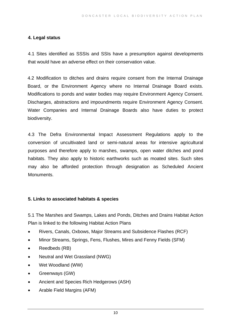## **4. Legal status**

4.1 Sites identified as SSSIs and SSIs have a presumption against developments that would have an adverse effect on their conservation value.

4.2 Modification to ditches and drains require consent from the Internal Drainage Board, or the Environment Agency where no Internal Drainage Board exists. Modifications to ponds and water bodies may require Environment Agency Consent. Discharges, abstractions and impoundments require Environment Agency Consent. Water Companies and Internal Drainage Boards also have duties to protect biodiversity.

4.3 The Defra Environmental Impact Assessment Regulations apply to the conversion of uncultivated land or semi-natural areas for intensive agricultural purposes and therefore apply to marshes, swamps, open water ditches and pond habitats. They also apply to historic earthworks such as moated sites. Such sites may also be afforded protection through designation as Scheduled Ancient Monuments.

## **5. Links to associated habitats & species**

5.1 The Marshes and Swamps, Lakes and Ponds, Ditches and Drains Habitat Action Plan is linked to the following Habitat Action Plans

- Rivers, Canals, Oxbows, Major Streams and Subsidence Flashes (RCF)
- Minor Streams, Springs, Fens, Flushes, Mires and Fenny Fields (SFM)
- Reedbeds (RB)
- Neutral and Wet Grassland (NWG)
- Wet Woodland (WW)
- Greenways (GW)
- Ancient and Species Rich Hedgerows (ASH)
- Arable Field Margins (AFM)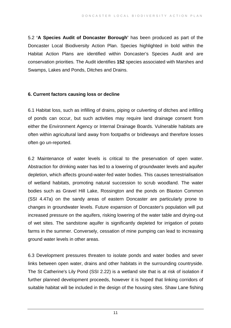5.2 **'A Species Audit of Doncaster Borough'** has been produced as part of the Doncaster Local Biodiversity Action Plan. Species highlighted in bold within the Habitat Action Plans are identified within Doncaster's Species Audit and are conservation priorities. The Audit identifies **152** species associated with Marshes and Swamps, Lakes and Ponds, Ditches and Drains.

#### **6. Current factors causing loss or decline**

6.1 Habitat loss, such as infilling of drains, piping or culverting of ditches and infilling of ponds can occur, but such activities may require land drainage consent from either the Environment Agency or Internal Drainage Boards. Vulnerable habitats are often within agricultural land away from footpaths or bridleways and therefore losses often go un-reported.

6.2 Maintenance of water levels is critical to the preservation of open water. Abstraction for drinking water has led to a lowering of groundwater levels and aquifer depletion, which affects ground-water-fed water bodies. This causes terrestrialisation of wetland habitats, promoting natural succession to scrub woodland. The water bodies such as Gravel Hill Lake, Rossington and the ponds on Blaxton Common (SSI 4.47a) on the sandy areas of eastern Doncaster are particularly prone to changes in groundwater levels. Future expansion of Doncaster's population will put increased pressure on the aquifers, risking lowering of the water table and drying-out of wet sites. The sandstone aquifer is significantly depleted for irrigation of potato farms in the summer. Conversely, cessation of mine pumping can lead to increasing ground water levels in other areas.

6.3 Development pressures threaten to isolate ponds and water bodies and sever links between open water, drains and other habitats in the surrounding countryside. The St Catherine's Lily Pond (SSI 2.22) is a wetland site that is at risk of isolation if further planned development proceeds, however it is hoped that linking corridors of suitable habitat will be included in the design of the housing sites. Shaw Lane fishing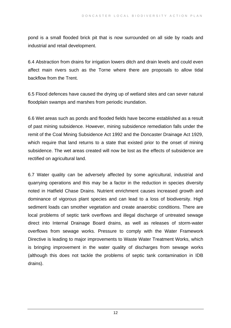pond is a small flooded brick pit that is now surrounded on all side by roads and industrial and retail development.

6.4 Abstraction from drains for irrigation lowers ditch and drain levels and could even affect main rivers such as the Torne where there are proposals to allow tidal backflow from the Trent.

6.5 Flood defences have caused the drying up of wetland sites and can sever natural floodplain swamps and marshes from periodic inundation.

6.6 Wet areas such as ponds and flooded fields have become established as a result of past mining subsidence. However, mining subsidence remediation falls under the remit of the Coal Mining Subsidence Act 1992 and the Doncaster Drainage Act 1929, which require that land returns to a state that existed prior to the onset of mining subsidence. The wet areas created will now be lost as the effects of subsidence are rectified on agricultural land.

6.7 Water quality can be adversely affected by some agricultural, industrial and quarrying operations and this may be a factor in the reduction in species diversity noted in Hatfield Chase Drains. Nutrient enrichment causes increased growth and dominance of vigorous plant species and can lead to a loss of biodiversity. High sediment loads can smother vegetation and create anaerobic conditions. There are local problems of septic tank overflows and illegal discharge of untreated sewage direct into Internal Drainage Board drains, as well as releases of storm-water overflows from sewage works. Pressure to comply with the Water Framework Directive is leading to major improvements to Waste Water Treatment Works, which is bringing improvement in the water quality of discharges from sewage works (although this does not tackle the problems of septic tank contamination in IDB drains).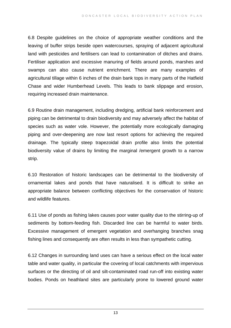6.8 Despite guidelines on the choice of appropriate weather conditions and the leaving of buffer strips beside open watercourses, spraying of adjacent agricultural land with pesticides and fertilisers can lead to contamination of ditches and drains. Fertiliser application and excessive manuring of fields around ponds, marshes and swamps can also cause nutrient enrichment. There are many examples of agricultural tillage within 6 inches of the drain bank tops in many parts of the Hatfield Chase and wider Humberhead Levels. This leads to bank slippage and erosion, requiring increased drain maintenance.

6.9 Routine drain management, including dredging, artificial bank reinforcement and piping can be detrimental to drain biodiversity and may adversely affect the habitat of species such as water vole. However, the potentially more ecologically damaging piping and over-deepening are now last resort options for achieving the required drainage. The typically steep trapezoidal drain profile also limits the potential biodiversity value of drains by limiting the marginal /emergent growth to a narrow strip.

6.10 Restoration of historic landscapes can be detrimental to the biodiversity of ornamental lakes and ponds that have naturalised. It is difficult to strike an appropriate balance between conflicting objectives for the conservation of historic and wildlife features.

6.11 Use of ponds as fishing lakes causes poor water quality due to the stirring-up of sediments by bottom-feeding fish. Discarded line can be harmful to water birds. Excessive management of emergent vegetation and overhanging branches snag fishing lines and consequently are often results in less than sympathetic cutting.

6.12 Changes in surrounding land uses can have a serious effect on the local water table and water quality, in particular the covering of local catchments with impervious surfaces or the directing of oil and silt-contaminated road run-off into existing water bodies. Ponds on heathland sites are particularly prone to lowered ground water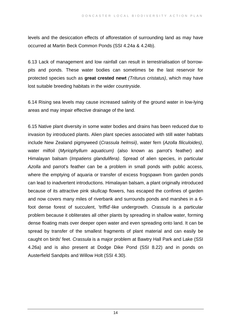levels and the desiccation effects of afforestation of surrounding land as may have occurred at Martin Beck Common Ponds (SSI 4.24a & 4.24b).

6.13 Lack of management and low rainfall can result in terrestrialisation of borrowpits and ponds. These water bodies can sometimes be the last reservoir for protected species such as **great crested newt** *(Triturus cristatus)*, which may have lost suitable breeding habitats in the wider countryside.

6.14 Rising sea levels may cause increased salinity of the ground water in low-lying areas and may impair effective drainage of the land.

6.15 Native plant diversity in some water bodies and drains has been reduced due to invasion by introduced plants. Alien plant species associated with still water habitats include New Zealand pigmyweed (*Crassula helmsii)*, water fern (*Azolla filiculoides)*, water milfoil (*Myriophyllum aquaticum)* (also known as parrot's feather) and Himalayan balsam (*Impatiens glandulifera)*. Spread of alien species, in particular *Azolla* and parrot's feather can be a problem in small ponds with public access, where the emptying of aquaria or transfer of excess frogspawn from garden ponds can lead to inadvertent introductions. Himalayan balsam, a plant originally introduced because of its attractive pink skullcap flowers, has escaped the confines of garden and now covers many miles of riverbank and surrounds ponds and marshes in a 6 foot dense forest of succulent, 'triffid'-like undergrowth. *Crassula* is a particular problem because it obliterates all other plants by spreading in shallow water, forming dense floating mats over deeper open water and even spreading onto land. It can be spread by transfer of the smallest fragments of plant material and can easily be caught on birds' feet. *Crassula* is a major problem at Bawtry Hall Park and Lake (SSI 4.26a) and is also present at Dodge Dike Pond (SSI 8.22) and in ponds on Austerfield Sandpits and Willow Holt (SSI 4.30).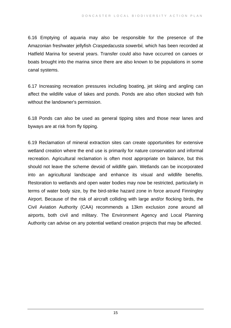6.16 Emptying of aquaria may also be responsible for the presence of the Amazonian freshwater jellyfish *Craspedacusta sowerbii,* which has been recorded at Hatfield Marina for several years. Transfer could also have occurred on canoes or boats brought into the marina since there are also known to be populations in some canal systems.

6.17 Increasing recreation pressures including boating, jet skiing and angling can affect the wildlife value of lakes and ponds. Ponds are also often stocked with fish without the landowner's permission.

6.18 Ponds can also be used as general tipping sites and those near lanes and byways are at risk from fly tipping.

6.19 Reclamation of mineral extraction sites can create opportunities for extensive wetland creation where the end use is primarily for nature conservation and informal recreation. Agricultural reclamation is often most appropriate on balance, but this should not leave the scheme devoid of wildlife gain. Wetlands can be incorporated into an agricultural landscape and enhance its visual and wildlife benefits. Restoration to wetlands and open water bodies may now be restricted, particularly in terms of water body size, by the bird-strike hazard zone in force around Finningley Airport. Because of the risk of aircraft colliding with large and/or flocking birds, the Civil Aviation Authority (CAA) recommends a 13km exclusion zone around all airports, both civil and military. The Environment Agency and Local Planning Authority can advise on any potential wetland creation projects that may be affected.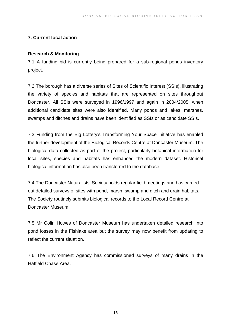## **7. Current local action**

#### **Research & Monitoring**

7.1 A funding bid is currently being prepared for a sub-regional ponds inventory project.

7.2 The borough has a diverse series of Sites of Scientific Interest (SSIs), illustrating the variety of species and habitats that are represented on sites throughout Doncaster. All SSIs were surveyed in 1996/1997 and again in 2004/2005, when additional candidate sites were also identified. Many ponds and lakes, marshes, swamps and ditches and drains have been identified as SSIs or as candidate SSIs.

7.3 Funding from the Big Lottery's Transforming Your Space initiative has enabled the further development of the Biological Records Centre at Doncaster Museum. The biological data collected as part of the project, particularly botanical information for local sites, species and habitats has enhanced the modern dataset. Historical biological information has also been transferred to the database.

7.4 The Doncaster Naturalists' Society holds regular field meetings and has carried out detailed surveys of sites with pond, marsh, swamp and ditch and drain habitats. The Society routinely submits biological records to the Local Record Centre at Doncaster Museum.

7.5 Mr Colin Howes of Doncaster Museum has undertaken detailed research into pond losses in the Fishlake area but the survey may now benefit from updating to reflect the current situation.

7.6 The Environment Agency has commissioned surveys of many drains in the Hatfield Chase Area.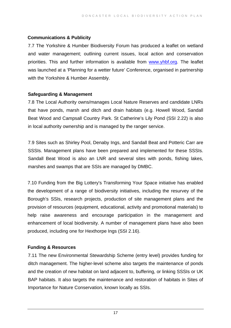## **Communications & Publicity**

7.7 The Yorkshire & Humber Biodiversity Forum has produced a leaflet on wetland and water management; outlining current issues, local action and conservation priorities. This and further information is available from [www.yhbf.org.](http://www.yhbf.org/) The leaflet was launched at a 'Planning for a wetter future' Conference, organised in partnership with the Yorkshire & Humber Assembly.

## **Safeguarding & Management**

7.8 The Local Authority owns/manages Local Nature Reserves and candidate LNRs that have ponds, marsh and ditch and drain habitats (e.g. Howell Wood, Sandall Beat Wood and Campsall Country Park. St Catherine's Lily Pond (SSI 2.22) is also in local authority ownership and is managed by the ranger service.

7.9 Sites such as Shirley Pool, Denaby Ings, and Sandall Beat and Potteric Carr are SSSIs. Management plans have been prepared and implemented for these SSSIs. Sandall Beat Wood is also an LNR and several sites with ponds, fishing lakes, marshes and swamps that are SSIs are managed by DMBC.

7.10 Funding from the Big Lottery's Transforming Your Space initiative has enabled the development of a range of biodiversity initiatives, including the resurvey of the Borough's SSIs, research projects, production of site management plans and the provision of resources (equipment, educational, activity and promotional materials) to help raise awareness and encourage participation in the management and enhancement of local biodiversity. A number of management plans have also been produced, including one for Hexthorpe Ings (SSI 2.16).

## **Funding & Resources**

7.11 The new Environmental Stewardship Scheme (entry level) provides funding for ditch management. The higher-level scheme also targets the maintenance of ponds and the creation of new habitat on land adjacent to, buffering, or linking SSSIs or UK BAP habitats. It also targets the maintenance and restoration of habitats in Sites of Importance for Nature Conservation, known locally as SSIs.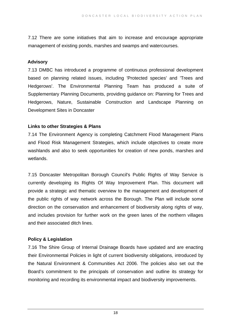7.12 There are some initiatives that aim to increase and encourage appropriate management of existing ponds, marshes and swamps and watercourses.

#### **Advisory**

7.13 DMBC has introduced a programme of continuous professional development based on planning related issues, including 'Protected species' and 'Trees and Hedgerows'. The Environmental Planning Team has produced a suite of Supplementary Planning Documents, providing guidance on: Planning for Trees and Hedgerows, Nature, Sustainable Construction and Landscape Planning on Development Sites in Doncaster

## **Links to other Strategies & Plans**

7.14 The Environment Agency is completing Catchment Flood Management Plans and Flood Risk Management Strategies, which include objectives to create more washlands and also to seek opportunities for creation of new ponds, marshes and wetlands.

7.15 Doncaster Metropolitan Borough Council's Public Rights of Way Service is currently developing its Rights Of Way Improvement Plan. This document will provide a strategic and thematic overview to the management and development of the public rights of way network across the Borough. The Plan will include some direction on the conservation and enhancement of biodiversity along rights of way, and includes provision for further work on the green lanes of the northern villages and their associated ditch lines.

## **Policy & Legislation**

7.16 The Shire Group of Internal Drainage Boards have updated and are enacting their Environmental Policies in light of current biodiversity obligations, introduced by the Natural Environment & Communities Act 2006. The policies also set out the Board's commitment to the principals of conservation and outline its strategy for monitoring and recording its environmental impact and biodiversity improvements.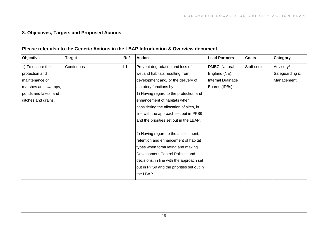## **8. Objectives, Targets and Proposed Actions**

#### **Please refer also to the Generic Actions in the LBAP Introduction & Overview document.**

| Objective            | Target     | Ref | <b>Action</b>                             | <b>Lead Partners</b> | <b>Costs</b> | Category       |
|----------------------|------------|-----|-------------------------------------------|----------------------|--------------|----------------|
| 1) To ensure the     | Continuous | 1.1 | Prevent degradation and loss of           | DMBC, Natural        | Staff costs  | Advisory/      |
| protection and       |            |     | wetland habitats resulting from           | England (NE),        |              | Safeguarding & |
| maintenance of       |            |     | development and/ or the delivery of       | Internal Drainage    |              | Management     |
| marshes and swamps,  |            |     | statutory functions by:                   | Boards (IDBs)        |              |                |
| ponds and lakes, and |            |     | 1) Having regard to the protection and    |                      |              |                |
| ditches and drains.  |            |     | enhancement of habitats when              |                      |              |                |
|                      |            |     | considering the allocation of sites, in   |                      |              |                |
|                      |            |     | line with the approach set out in PPS9    |                      |              |                |
|                      |            |     | and the priorities set out in the LBAP.   |                      |              |                |
|                      |            |     | 2) Having regard to the assessment,       |                      |              |                |
|                      |            |     | retention and enhancement of habitat      |                      |              |                |
|                      |            |     | types when formulating and making         |                      |              |                |
|                      |            |     | Development Control Policies and          |                      |              |                |
|                      |            |     | decisions, in line with the approach set  |                      |              |                |
|                      |            |     | out in PPS9 and the priorities set out in |                      |              |                |
|                      |            |     | the LBAP.                                 |                      |              |                |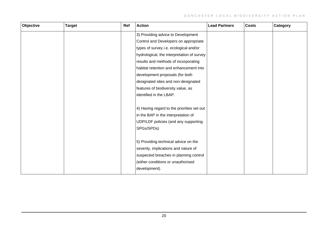| Objective | <b>Target</b> | Ref | <b>Action</b>                              | <b>Lead Partners</b> | <b>Costs</b> | Category |
|-----------|---------------|-----|--------------------------------------------|----------------------|--------------|----------|
|           |               |     | 3) Providing advice to Development         |                      |              |          |
|           |               |     | Control and Developers on appropriate      |                      |              |          |
|           |               |     | types of survey i.e. ecological and/or     |                      |              |          |
|           |               |     | hydrological, the interpretation of survey |                      |              |          |
|           |               |     | results and methods of incorporating       |                      |              |          |
|           |               |     | habitat retention and enhancement into     |                      |              |          |
|           |               |     | development proposals (for both            |                      |              |          |
|           |               |     | designated sites and non-designated        |                      |              |          |
|           |               |     | features of biodiversity value, as         |                      |              |          |
|           |               |     | identified in the LBAP.                    |                      |              |          |
|           |               |     |                                            |                      |              |          |
|           |               |     | 4) Having regard to the priorities set out |                      |              |          |
|           |               |     | in the BAP in the interpretation of        |                      |              |          |
|           |               |     | UDP/LDF policies (and any supporting       |                      |              |          |
|           |               |     | SPGs/SPDs)                                 |                      |              |          |
|           |               |     |                                            |                      |              |          |
|           |               |     | 5) Providing technical advice on the       |                      |              |          |
|           |               |     | severity, implications and nature of       |                      |              |          |
|           |               |     | suspected breaches in planning control     |                      |              |          |
|           |               |     | (either conditions or unauthorised         |                      |              |          |
|           |               |     | development).                              |                      |              |          |
|           |               |     |                                            |                      |              |          |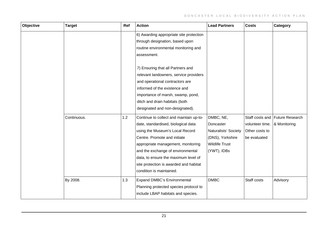| Objective | <b>Target</b> | Ref | <b>Action</b>                                                                                                                                                                                                                                                                                                                              | <b>Lead Partners</b>                                                                                       | <b>Costs</b>                                                         | Category                        |
|-----------|---------------|-----|--------------------------------------------------------------------------------------------------------------------------------------------------------------------------------------------------------------------------------------------------------------------------------------------------------------------------------------------|------------------------------------------------------------------------------------------------------------|----------------------------------------------------------------------|---------------------------------|
|           |               |     | 6) Awarding appropriate site protection<br>through designation, based upon<br>routine environmental monitoring and<br>assessment.                                                                                                                                                                                                          |                                                                                                            |                                                                      |                                 |
|           |               |     | 7) Ensuring that all Partners and<br>relevant landowners, service providers<br>and operational contractors are<br>informed of the existence and<br>importance of marsh, swamp, pond,<br>ditch and drain habitats (both<br>designated and non-designated).                                                                                  |                                                                                                            |                                                                      |                                 |
|           | Continuous.   | 1.2 | Continue to collect and maintain up-to-<br>date, standardised, biological data<br>using the Museum's Local Record<br>Centre. Promote and initiate<br>appropriate management, monitoring<br>and the exchange of environmental<br>data, to ensure the maximum level of<br>site protection is awarded and habitat<br>condition is maintained. | DMBC, NE,<br>Doncaster<br>Naturalists' Society<br>(DNS), Yorkshire<br><b>Wildlife Trust</b><br>(YWT), IDBs | Staff costs and<br>volunteer time.<br>Other costs to<br>be evaluated | Future Research<br>& Monitoring |
|           | By 2008.      | 1.3 | <b>Expand DMBC's Environmental</b><br>Planning protected species protocol to<br>include LBAP habitats and species.                                                                                                                                                                                                                         | <b>DMBC</b>                                                                                                | Staff costs                                                          | Advisory                        |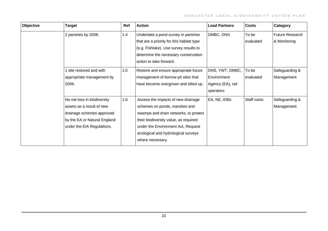| Objective | Target                       | Ref | <b>Action</b>                             | <b>Lead Partners</b> | <b>Costs</b> | Category        |
|-----------|------------------------------|-----|-------------------------------------------|----------------------|--------------|-----------------|
|           | 2 parishes by 2008.          | 1.4 | Undertake a pond survey in parishes       | DMBC, DNS            | To be        | Future Research |
|           |                              |     | that are a priority for this habitat type |                      | evaluated    | & Monitoring    |
|           |                              |     | (e.g. Fishlake). Use survey results to    |                      |              |                 |
|           |                              |     | determine the necessary conservation      |                      |              |                 |
|           |                              |     | action to take forward.                   |                      |              |                 |
|           | 1 site restored and with     | 1.5 | Restore and ensure appropriate future     | DNS, YWT, DMBC,      | To be        | Safeguarding &  |
|           | appropriate management by    |     | management of borrow pit sites that       | Environment          | evaluated    | Management      |
|           | 2009.                        |     | have become overgrown and silted up.      | Agency (EA), rail    |              |                 |
|           |                              |     |                                           | operators            |              |                 |
|           | No net loss in biodiversity  | 1.6 | Assess the impacts of new drainage        | EA, NE, IDBs         | Staff costs  | Safeguarding &  |
|           | assets as a result of new    |     | schemes on ponds, marshes and             |                      |              | Management      |
|           | drainage schemes approved    |     | swamps and drain networks, to protect     |                      |              |                 |
|           | by the EA or Natural England |     | their biodiversity value, as required     |                      |              |                 |
|           | under the EIA Regulations.   |     | under the Environment Act. Request        |                      |              |                 |
|           |                              |     | ecological and hydrological surveys       |                      |              |                 |
|           |                              |     | where necessary.                          |                      |              |                 |
|           |                              |     |                                           |                      |              |                 |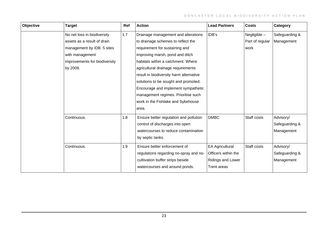| Objective | <b>Target</b>                 | Ref | <b>Action</b>                           | <b>Lead Partners</b>   | <b>Costs</b>    | Category       |
|-----------|-------------------------------|-----|-----------------------------------------|------------------------|-----------------|----------------|
|           | No net loss in biodiversity   | 1.7 | Drainage management and alterations     | IDB's                  | Negligible -    | Safeguarding & |
|           | assets as a result of drain   |     | to drainage schemes to reflect the      |                        | Part of regular | Management     |
|           | management by IDB. 5 sites    |     | requirement for sustaining and          |                        | work            |                |
|           | with management               |     | improving marsh, pond and ditch         |                        |                 |                |
|           | improvements for biodiversity |     | habitats within a catchment. Where      |                        |                 |                |
|           | by 2009.                      |     | agricultural drainage requirements      |                        |                 |                |
|           |                               |     | result in biodiversity harm alternative |                        |                 |                |
|           |                               |     | solutions to be sought and promoted.    |                        |                 |                |
|           |                               |     | Encourage and implement sympathetic     |                        |                 |                |
|           |                               |     | management regimes. Prioritise such     |                        |                 |                |
|           |                               |     | work in the Fishlake and Sykehouse      |                        |                 |                |
|           |                               |     | area.                                   |                        |                 |                |
|           | Continuous.                   | 1.8 | Ensure better regulation and pollution  | <b>DMBC</b>            | Staff costs     | Advisory/      |
|           |                               |     | control of discharges into open         |                        |                 | Safeguarding & |
|           |                               |     | watercourses to reduce contamination    |                        |                 | Management     |
|           |                               |     | by septic tanks.                        |                        |                 |                |
|           | Continuous.                   | 1.9 | Ensure better enforcement of            | <b>EA Agricultural</b> | Staff costs     | Advisory/      |
|           |                               |     | regulations regarding no-spray and no-  | Officers within the    |                 | Safeguarding & |
|           |                               |     | cultivation buffer strips beside        | Ridings and Lower      |                 | Management     |
|           |                               |     | watercourses and around ponds.          | <b>Trent areas</b>     |                 |                |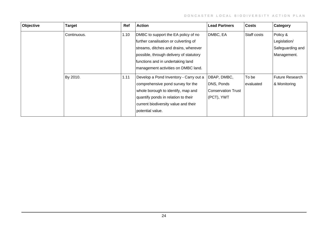| Objective | <b>Target</b> | Ref  | <b>Action</b>                           | <b>Lead Partners</b>      | <b>Costs</b> | Category               |
|-----------|---------------|------|-----------------------------------------|---------------------------|--------------|------------------------|
|           | Continuous.   | 1.10 | DMBC to support the EA policy of no     | DMBC, EA                  | Staff costs  | Policy &               |
|           |               |      | further canalisation or culverting of   |                           |              | Legislation/           |
|           |               |      | streams, ditches and drains, wherever   |                           |              | Safeguarding and       |
|           |               |      | possible, through delivery of statutory |                           |              | Management.            |
|           |               |      | functions and in undertaking land       |                           |              |                        |
|           |               |      | management activities on DMBC land.     |                           |              |                        |
|           | By 2010.      | 1.11 | Develop a Pond Inventory - Carry out a  | DBAP, DMBC,               | To be        | <b>Future Research</b> |
|           |               |      | comprehensive pond survey for the       | DNS, Ponds                | evaluated    | & Monitoring           |
|           |               |      | whole borough to identify, map and      | <b>Conservation Trust</b> |              |                        |
|           |               |      | quantify ponds in relation to their     | (PCT), YWT                |              |                        |
|           |               |      | current biodiversity value and their    |                           |              |                        |
|           |               |      | potential value.                        |                           |              |                        |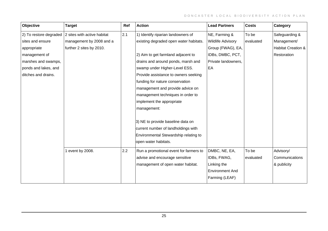| Objective            | <b>Target</b>                                              | Ref | <b>Action</b>                          | <b>Lead Partners</b>     | <b>Costs</b> | Category           |
|----------------------|------------------------------------------------------------|-----|----------------------------------------|--------------------------|--------------|--------------------|
|                      | 2) To restore degraded $\vert$ 2 sites with active habitat | 2.1 | 1) Identify riparian landowners of     | NE, Farming &            | To be        | Safeguarding &     |
| sites and ensure     | management by 2008 and a                                   |     | existing degraded open water habitats. | <b>Wildlife Advisory</b> | evaluated    | Management/        |
| appropriate          | further 2 sites by 2010.                                   |     |                                        | Group (FWAG), EA,        |              | Habitat Creation & |
| management of        |                                                            |     | 2) Aim to get farmland adjacent to     | IDBs, DMBC, PCT,         |              | Restoration        |
| marshes and swamps,  |                                                            |     | drains and around ponds, marsh and     | Private landowners,      |              |                    |
| ponds and lakes, and |                                                            |     | swamp under Higher-Level ESS.          | EA                       |              |                    |
| ditches and drains.  |                                                            |     | Provide assistance to owners seeking   |                          |              |                    |
|                      |                                                            |     | funding for nature conservation        |                          |              |                    |
|                      |                                                            |     | management and provide advice on       |                          |              |                    |
|                      |                                                            |     | management techniques in order to      |                          |              |                    |
|                      |                                                            |     | implement the appropriate              |                          |              |                    |
|                      |                                                            |     | management:                            |                          |              |                    |
|                      |                                                            |     |                                        |                          |              |                    |
|                      |                                                            |     | 3) NE to provide baseline data on      |                          |              |                    |
|                      |                                                            |     | current number of landholdings with    |                          |              |                    |
|                      |                                                            |     | Environmental Stewardship relating to  |                          |              |                    |
|                      |                                                            |     | open water habitats.                   |                          |              |                    |
|                      | 1 event by 2008.                                           | 2.2 | Run a promotional event for farmers to | DMBC, NE, EA,            | To be        | Advisory/          |
|                      |                                                            |     | advise and encourage sensitive         | IDBs, FWAG,              | evaluated    | Communications     |
|                      |                                                            |     | management of open water habitat.      | Linking the              |              | & publicity        |
|                      |                                                            |     |                                        | <b>Environment And</b>   |              |                    |
|                      |                                                            |     |                                        | Farming (LEAF)           |              |                    |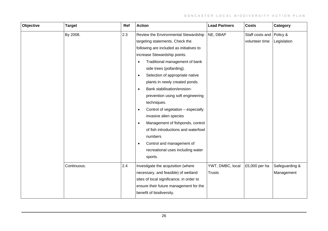| Objective | <b>Target</b> | Ref | <b>Action</b>                                   | <b>Lead Partners</b> | <b>Costs</b>             | Category       |
|-----------|---------------|-----|-------------------------------------------------|----------------------|--------------------------|----------------|
|           | By 2008.      | 2.3 | Review the Environmental Stewardship            | NE, DBAP             | Staff costs and Policy & |                |
|           |               |     | targeting statements. Check the                 |                      | volunteer time           | Legislation    |
|           |               |     | following are included as initiatives to        |                      |                          |                |
|           |               |     | increase Stewardship points.                    |                      |                          |                |
|           |               |     | Traditional management of bank<br>$\bullet$     |                      |                          |                |
|           |               |     | side trees (pollarding).                        |                      |                          |                |
|           |               |     | Selection of appropriate native<br>$\bullet$    |                      |                          |                |
|           |               |     | plants in newly created ponds.                  |                      |                          |                |
|           |               |     | Bank stabilisation/erosion-<br>$\bullet$        |                      |                          |                |
|           |               |     | prevention using soft engineering               |                      |                          |                |
|           |               |     | techniques.                                     |                      |                          |                |
|           |               |     | Control of vegetation - especially<br>$\bullet$ |                      |                          |                |
|           |               |     | invasive alien species                          |                      |                          |                |
|           |               |     | Management of fishponds, control<br>$\bullet$   |                      |                          |                |
|           |               |     | of fish introductions and waterfowl             |                      |                          |                |
|           |               |     | numbers                                         |                      |                          |                |
|           |               |     | Control and management of<br>$\bullet$          |                      |                          |                |
|           |               |     | recreational uses including water               |                      |                          |                |
|           |               |     | sports.                                         |                      |                          |                |
|           | Continuous.   | 2.4 | Investigate the acquisition (where              | YWT, DMBC, local     | £5,000 per ha            | Safeguarding & |
|           |               |     | necessary, and feasible) of wetland             | <b>Trusts</b>        |                          | Management     |
|           |               |     | sites of local significance, in order to        |                      |                          |                |
|           |               |     | ensure their future management for the          |                      |                          |                |
|           |               |     | benefit of biodiversity.                        |                      |                          |                |
|           |               |     |                                                 |                      |                          |                |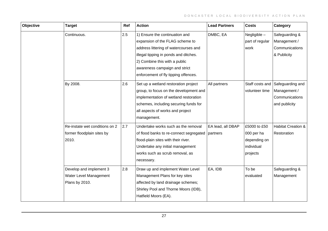| Objective | <b>Target</b>                                                         | Ref | <b>Action</b>                                                                                                                                                                                                                                                 | <b>Lead Partners</b>          | <b>Costs</b>                                                         | Category                                                            |
|-----------|-----------------------------------------------------------------------|-----|---------------------------------------------------------------------------------------------------------------------------------------------------------------------------------------------------------------------------------------------------------------|-------------------------------|----------------------------------------------------------------------|---------------------------------------------------------------------|
|           | Continuous.                                                           | 2.5 | 1) Ensure the continuation and<br>expansion of the FLAG scheme to<br>address littering of watercourses and<br>illegal tipping in ponds and ditches.<br>2) Combine this with a public<br>awareness campaign and strict<br>enforcement of fly tipping offences. | DMBC, EA                      | Negligible -<br>part of regular<br>work                              | Safeguarding &<br>Management /<br>Communications<br>& Publicity     |
|           | By 2008.                                                              | 2.6 | Set up a wetland restoration project<br>group, to focus on the development and<br>implementation of wetland restoration<br>schemes, including securing funds for<br>all aspects of works and project<br>management.                                           | All partners                  | Staff costs and<br>volunteer time                                    | Safeguarding and<br>Management /<br>Communications<br>and publicity |
|           | Re-instate wet conditions on 2<br>former floodplain sites by<br>2010. | 2.7 | Undertake works such as the removal<br>of flood banks to re-connect segregated<br>flood-plain sites with their river.<br>Undertake any initial management<br>works such as scrub removal, as<br>necessary.                                                    | EA lead, all DBAP<br>partners | £5000 to £50<br>000 per ha<br>depending on<br>individual<br>projects | Habitat Creation &<br>Restoration                                   |
|           | Develop and implement 3<br>Water Level Management<br>Plans by 2010.   | 2.8 | Draw up and implement Water Level<br>Management Plans for key sites<br>affected by land drainage schemes;<br>Shirley Pool and Thorne Moors (IDB),<br>Hatfield Moors (EA).                                                                                     | EA, IDB                       | To be<br>evaluated                                                   | Safeguarding &<br>Management                                        |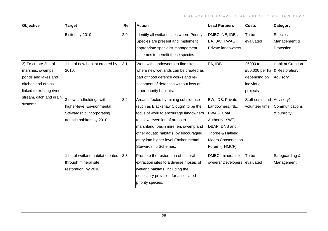| Objective                 | <b>Target</b>                   | Ref | <b>Action</b>                             | <b>Lead Partners</b>      | <b>Costs</b>                    | Category                 |
|---------------------------|---------------------------------|-----|-------------------------------------------|---------------------------|---------------------------------|--------------------------|
|                           | 5 sites by 2010.                | 2.9 | Identify all wetland sites where Priority | DMBC, NE, IDBs,           | To be                           | Species                  |
|                           |                                 |     | Species are present and implement         | EA, BW, FWAG,             | evaluated                       | Management &             |
|                           |                                 |     | appropriate specialist management         | Private landowners        |                                 | Protection               |
|                           |                                 |     | schemes to benefit these species.         |                           |                                 |                          |
| 3) To create 2ha of       | 1 ha of new habitat created by  | 3.1 | Work with landowners to find sites        | EA, IDB                   | £5000 to                        | <b>Habit at Creation</b> |
| marshes, swamps,          | 2010.                           |     | where new wetlands can be created as      |                           | £50,000 per ha   & Restoration/ |                          |
| ponds and lakes and       |                                 |     | part of flood defence works and re-       |                           | depending on                    | Advisory                 |
| ditches and drains        |                                 |     | alignment of defences without loss of     |                           | individual                      |                          |
| linked to existing river, |                                 |     | other priority habitats.                  |                           | projects                        |                          |
| stream, ditch and drain   | 3 new landholdings with         | 3.2 | Areas affected by mining subsidence       | BW, IDB, Private          | Staff costs and Advisory/       |                          |
| systems.                  | higher-level Environmental      |     | (such as Blackshaw Clough) to be the      | Landowners, NE,           | volunteer time                  | Communications           |
|                           | Stewardship incorporating       |     | focus of work to encourage landowners     | FWAG, Coal                |                                 | & publicity              |
|                           | aquatic habitats by 2010.       |     | to allow reversion of areas to            | Authority, YWT,           |                                 |                          |
|                           |                                 |     | marshland, basin mire fen, swamp and      | DBAP, DNS and             |                                 |                          |
|                           |                                 |     | other aquatic habitats, by encouraging    | Thorne & Hatfield         |                                 |                          |
|                           |                                 |     | entry into higher level Environmental     | <b>Moors Conservation</b> |                                 |                          |
|                           |                                 |     | Stewardship Schemes.                      | Forum (THMCF)             |                                 |                          |
|                           | 1 ha of wetland habitat created | 3.3 | Promote the restoration of mineral        | DMBC, mineral site        | To be                           | Safeguarding &           |
|                           | through mineral site            |     | extraction sites to a diverse mosaic of   | owners/ Developers        | evaluated                       | Management               |
|                           | restoration, by 2010.           |     | wetland habitats, including the           |                           |                                 |                          |
|                           |                                 |     | necessary provision for associated        |                           |                                 |                          |
|                           |                                 |     | priority species.                         |                           |                                 |                          |
|                           |                                 |     |                                           |                           |                                 |                          |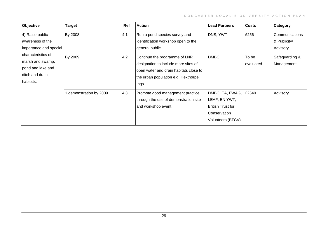| <b>Objective</b>                                                                            | <b>Target</b>            | Ref | <b>Action</b>                                                                                                                                                   | <b>Lead Partners</b>                                                                              | <b>Costs</b>       | Category                                   |
|---------------------------------------------------------------------------------------------|--------------------------|-----|-----------------------------------------------------------------------------------------------------------------------------------------------------------------|---------------------------------------------------------------------------------------------------|--------------------|--------------------------------------------|
| 4) Raise public<br>awareness of the<br>importance and special                               | By 2008.                 | 4.1 | Run a pond species survey and<br>identification workshop open to the<br>general public.                                                                         | DNS, YWT                                                                                          | £256               | Communications<br>& Publicity/<br>Advisory |
| characteristics of<br>marsh and swamp,<br>pond and lake and<br>ditch and drain<br>habitats. | By 2009.                 | 4.2 | Continue the programme of LNR<br>designation to include more sites of<br>open water and drain habitats close to<br>the urban population e.g. Hexthorpe<br>Ings. | <b>DMBC</b>                                                                                       | To be<br>evaluated | Safeguarding &<br>Management               |
|                                                                                             | 1 demonstration by 2009. | 4.3 | Promote good management practice<br>through the use of demonstration site<br>and workshop event.                                                                | DMBC, EA, FWAG,<br>LEAF, EN YWT,<br><b>British Trust for</b><br>Conservation<br>Volunteers (BTCV) | £2640              | Advisory                                   |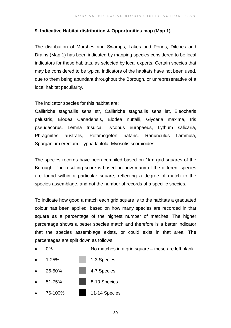#### **9. Indicative Habitat distribution & Opportunities map (Map 1)**

The distribution of Marshes and Swamps, Lakes and Ponds, Ditches and Drains (Map 1) has been indicated by mapping species considered to be local indicators for these habitats, as selected by local experts. Certain species that may be considered to be typical indicators of the habitats have not been used, due to them being abundant throughout the Borough, or unrepresentative of a local habitat peculiarity.

The indicator species for this habitat are:

Callitriche stagnallis sens str, Callitriche stagnallis sens lat, Eleocharis palustris, Elodea Canadensis, Elodea nuttalli, Glyceria maxima, Iris pseudacorus, Lemna trisulca, Lycopus europaeus, Lythum salicaria, Phragmites australis, Potamogeton natans, Ranunculus flammula, Sparganium erectum, Typha latifola, Myosotis scorpioides

The species records have been compiled based on 1km grid squares of the Borough. The resulting score is based on how many of the different species are found within a particular square, reflecting a degree of match to the species assemblage, and not the number of records of a specific species.

To indicate how good a match each grid square is to the habitats a graduated colour has been applied, based on how many species are recorded in that square as a percentage of the highest number of matches. The higher percentage shows a better species match and therefore is a better indicator that the species assemblage exists, or could exist in that area. The percentages are split down as follows:

- 0% No matches in a grid square these are left blank
- 1-25% | 1-3 Species • 26-50% 4-7 Species
- **51-75%** 8-10 Species
- 76-100% 11-14 Species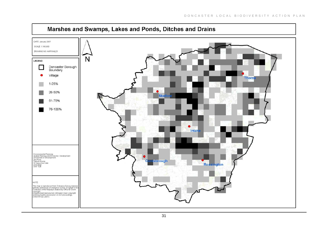

# Marshes and Swamps, Lakes and Ponds, Ditches and Drains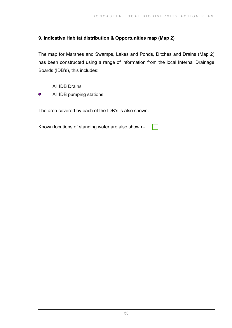## **9. Indicative Habitat distribution & Opportunities map (Map 2)**

The map for Marshes and Swamps, Lakes and Ponds, Ditches and Drains (Map 2) has been constructed using a range of information from the local Internal Drainage Boards (IDB's), this includes:

- All IDB Drains
- $\bullet$ All IDB pumping stations

The area covered by each of the IDB's is also shown.

Known locations of standing water are also shown -